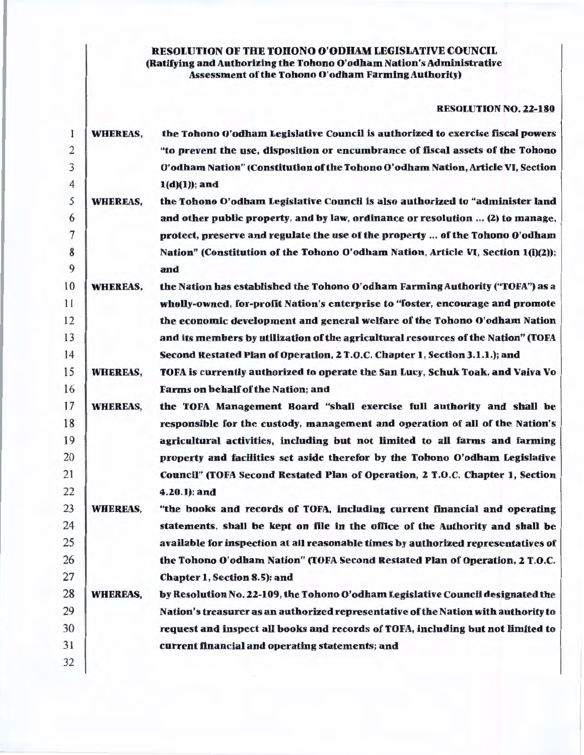## RESOLUTION OF THE TOHONO O'ODllAM LEGISLATIVE COUNCIL (Ratifying and Authorizing the Tohono O'odham Nation's Administrative Assessment of the Tohono O'odham Farming Authority)

### RESOLUTION NO. 22-180

| 1              | <b>WHEREAS,</b> | the Tohono O'odham Legislative Council is authorized to exercise fiscal powers     |
|----------------|-----------------|------------------------------------------------------------------------------------|
| $\overline{2}$ |                 | "to prevent the use, disposition or encumbrance of fiscal assets of the Tohono     |
| 3              |                 | O'odham Nation" (Constitution of the Tohono O'odham Nation, Article VI, Section    |
| 4              |                 | $1(d)(1))$ ; and                                                                   |
| 5              | <b>WHEREAS,</b> | the Tohono O'odham Legislative Council is also authorized to "administer land      |
| 6              |                 | and other public property, and by law, ordinance or resolution  (2) to manage,     |
| 7              |                 | protect, preserve and regulate the use of the property  of the Tohono O'odham      |
| 8              |                 | Nation" (Constitution of the Tohono O'odham Nation, Article VI, Section 1(i)(2));  |
| 9              |                 | and                                                                                |
| 10             | <b>WHEREAS,</b> | the Nation has established the Tohono O'odham Farming Authority ("TOFA") as a      |
| 11             |                 | wholly-owned, for-profit Nation's enterprise to "foster, encourage and promote     |
| 12             |                 | the economic development and general welfare of the Tohono O'odham Nation          |
| 13             |                 | and its members by utilization of the agricultural resources of the Nation" (TOFA  |
| 14             |                 | Second Restated Plan of Operation, 2 T.O.C. Chapter 1, Section 3.1.1.); and        |
| 15             | <b>WHEREAS,</b> | TOFA is currently authorized to operate the San Lucy, Schuk Toak, and Vaiva Vo     |
| 16             |                 | Farms on behalf of the Nation; and                                                 |
| 17             | <b>WHEREAS,</b> | the TOFA Management Board "shall exercise full authority and shall be              |
| 18             |                 | responsible for the custody, management and operation of all of the Nation's       |
| 19             |                 | agricultural activities, including but not limited to all farms and farming        |
| 20             |                 | property and facilities set aside therefor by the Tohono O'odham Legislative       |
| 21             |                 | Council" (TOFA Second Restated Plan of Operation, 2 T.O.C. Chapter 1, Section      |
| 22             |                 | $4.20.1$ ); and                                                                    |
| 23             | <b>WHEREAS,</b> | "the books and records of TOFA, including current financial and operating          |
| 24             |                 | statements, shall be kept on file in the office of the Authority and shall be      |
| 25             |                 | available for inspection at all reasonable times by authorized representatives of  |
| 26             |                 | the Tohono O'odham Nation" (TOFA Second Restated Plan of Operation, 2 T.O.C.       |
| 27             |                 | Chapter 1, Section 8.5); and                                                       |
| 28             | <b>WHEREAS,</b> | by Resolution No. 22-109, the Tohono O'odham Legislative Council designated the    |
| 29             |                 | Nation's treasurer as an authorized representative of the Nation with authority to |
| 30             |                 | request and inspect all books and records of TOFA, including but not limited to    |
| 31             |                 | current financial and operating statements; and                                    |
| 32             |                 |                                                                                    |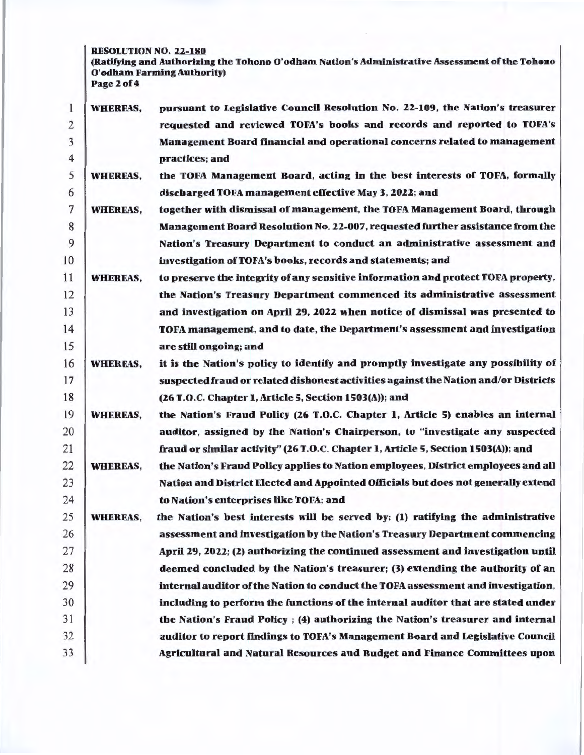RESOLUTION NO. 22-180

(Ratifying and Authorizing the Tohono O'odham Nation's Administrative Assessment of the Tohono O'odham Farming Authority) Page 2 of 4

| 1              | <b>WHEREAS,</b> | pursuant to Legislative Council Resolution No. 22-109, the Nation's treasurer       |
|----------------|-----------------|-------------------------------------------------------------------------------------|
| $\mathbf{Z}$   |                 | requested and reviewed TOFA's books and records and reported to TOFA's              |
| 3              |                 | Management Board financial and operational concerns related to management           |
| $\overline{4}$ |                 | practices; and                                                                      |
| 5              | <b>WHEREAS,</b> | the TOFA Management Board, acting in the best interests of TOFA, formally           |
| 6              |                 | discharged TOFA management effective May 3, 2022; and                               |
| 7              | <b>WHEREAS,</b> | together with dismissal of management, the TOFA Management Board, through           |
| 8              |                 | Management Board Resolution No. 22-007, requested further assistance from the       |
| 9              |                 | Nation's Treasury Department to conduct an administrative assessment and            |
| 10             |                 | investigation of TOFA's books, records and statements; and                          |
| 11             | <b>WHEREAS,</b> | to preserve the integrity of any sensitive information and protect TOFA property,   |
| 12             |                 | the Nation's Treasury Department commenced its administrative assessment            |
| 13             |                 | and investigation on April 29, 2022 when notice of dismissal was presented to       |
| 14             |                 | TOFA management, and to date, the Department's assessment and investigation         |
| 15             |                 | are still ongoing; and                                                              |
| 16             | <b>WHEREAS,</b> | it is the Nation's policy to identify and promptly investigate any possibility of   |
| 17             |                 | suspected fraud or related dishonest activities against the Nation and/or Districts |
| 18             |                 | (26 T.O.C. Chapter 1, Article 5, Section 1503(A)); and                              |
| 19             | <b>WHEREAS,</b> | the Nation's Fraud Policy (26 T.O.C. Chapter 1, Article 5) enables an internal      |
| 20             |                 | auditor, assigned by the Nation's Chairperson, to "investigate any suspected        |
| 21             |                 | fraud or similar activity" (26 T.O.C. Chapter 1, Article 5, Section 1503(A)); and   |
| 22             | <b>WHEREAS,</b> | the Nation's Fraud Policy applies to Nation employees, District employees and all   |
| 23             |                 | Nation and District Elected and Appointed Officials but does not generally extend   |
| 24             |                 | to Nation's enterprises like TOFA; and                                              |
| 25             | <b>WHEREAS,</b> | the Nation's best interests will be served by: (1) ratifying the administrative     |
| 26             |                 | assessment and investigation by the Nation's Treasury Department commencing         |
| 27             |                 | April 29, 2022; (2) authorizing the continued assessment and investigation until    |
| 28             |                 | deemed concluded by the Nation's treasurer; (3) extending the authority of an       |
| 29             |                 | internal auditor of the Nation to conduct the TOFA assessment and investigation,    |
| 30             |                 | including to perform the functions of the internal auditor that are stated under    |
| 31             |                 | the Nation's Fraud Policy ; (4) authorizing the Nation's treasurer and internal     |
| 32             |                 | auditor to report findings to TOFA's Management Board and Legislative Council       |
| 33             |                 | Agricultural and Natural Resources and Budget and Finance Committees upon           |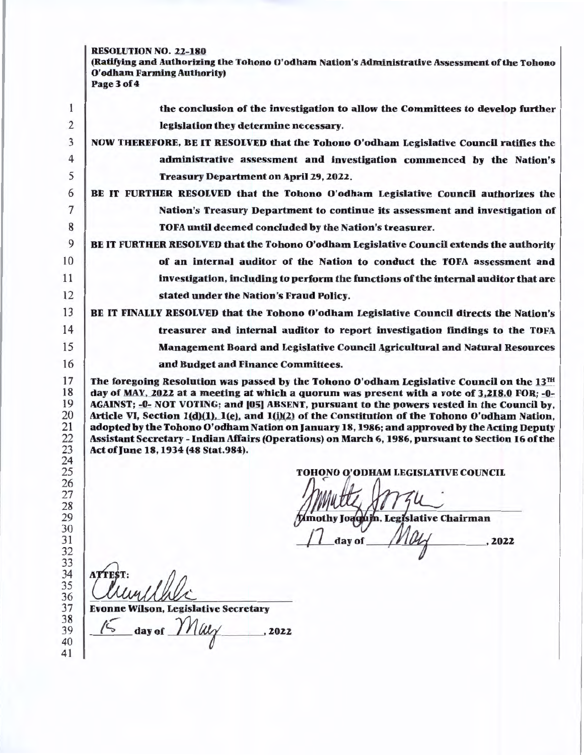# RESOLUTION NO. 22-180

(Ratifying and Authorizing the Tohono O'odham Nation's Administrative Assessment of the Tohono O'odham Farming Authority) Page3of4

| 1                                                                                                                    | the conclusion of the investigation to allow the Committees to develop further                                                                                                                                                                                                                                                                                                                                                                                                                                                                                                                                                                                                                                                                                     |
|----------------------------------------------------------------------------------------------------------------------|--------------------------------------------------------------------------------------------------------------------------------------------------------------------------------------------------------------------------------------------------------------------------------------------------------------------------------------------------------------------------------------------------------------------------------------------------------------------------------------------------------------------------------------------------------------------------------------------------------------------------------------------------------------------------------------------------------------------------------------------------------------------|
| 2                                                                                                                    | legislation they determine necessary.                                                                                                                                                                                                                                                                                                                                                                                                                                                                                                                                                                                                                                                                                                                              |
| 3                                                                                                                    | NOW THEREFORE, BE IT RESOLVED that the Tohono O'odham Legislative Council ratifies the                                                                                                                                                                                                                                                                                                                                                                                                                                                                                                                                                                                                                                                                             |
| 4                                                                                                                    | administrative assessment and investigation commenced by the Nation's                                                                                                                                                                                                                                                                                                                                                                                                                                                                                                                                                                                                                                                                                              |
| 5                                                                                                                    | Treasury Department on April 29, 2022.                                                                                                                                                                                                                                                                                                                                                                                                                                                                                                                                                                                                                                                                                                                             |
| 6                                                                                                                    | BE IT FURTHER RESOLVED that the Tohono O'odham Legislative Council authorizes the                                                                                                                                                                                                                                                                                                                                                                                                                                                                                                                                                                                                                                                                                  |
| $\overline{7}$                                                                                                       | Nation's Treasury Department to continue its assessment and investigation of                                                                                                                                                                                                                                                                                                                                                                                                                                                                                                                                                                                                                                                                                       |
| 8                                                                                                                    | TOFA until deemed concluded by the Nation's treasurer.                                                                                                                                                                                                                                                                                                                                                                                                                                                                                                                                                                                                                                                                                                             |
| 9                                                                                                                    | BE IT FURTHER RESOLVED that the Tohono O'odham Legislative Council extends the authority                                                                                                                                                                                                                                                                                                                                                                                                                                                                                                                                                                                                                                                                           |
| 10                                                                                                                   | of an internal auditor of the Nation to conduct the TOFA assessment and                                                                                                                                                                                                                                                                                                                                                                                                                                                                                                                                                                                                                                                                                            |
| 11                                                                                                                   | investigation, including to perform the functions of the internal auditor that are                                                                                                                                                                                                                                                                                                                                                                                                                                                                                                                                                                                                                                                                                 |
| 12                                                                                                                   | stated under the Nation's Fraud Policy.                                                                                                                                                                                                                                                                                                                                                                                                                                                                                                                                                                                                                                                                                                                            |
| 13                                                                                                                   | BE IT FINALLY RESOLVED that the Tohono O'odham Legislative Council directs the Nation's                                                                                                                                                                                                                                                                                                                                                                                                                                                                                                                                                                                                                                                                            |
| 14                                                                                                                   | treasurer and internal auditor to report investigation findings to the TOFA                                                                                                                                                                                                                                                                                                                                                                                                                                                                                                                                                                                                                                                                                        |
| 15                                                                                                                   | Management Board and Legislative Council Agricultural and Natural Resources                                                                                                                                                                                                                                                                                                                                                                                                                                                                                                                                                                                                                                                                                        |
| 16                                                                                                                   | and Budget and Finance Committees.                                                                                                                                                                                                                                                                                                                                                                                                                                                                                                                                                                                                                                                                                                                                 |
| 17<br>18<br>19<br>20<br>21<br>22<br>23<br>24<br>25<br>26<br>27<br>28<br>29<br>30<br>31<br>32<br>33<br>34<br>35<br>36 | The foregoing Resolution was passed by the Tohono O'odham Legislative Council on the $13^{TH}$<br>day of MAY, 2022 at a meeting at which a quorum was present with a vote of 3,218.0 FOR; -0-<br>AGAINST; -0- NOT VOTING; and [05] ABSENT, pursuant to the powers vested in the Council by,<br>Article VI, Section 1(d)(1), 1(e), and 1(j)(2) of the Constitution of the Tohono O'odham Nation,<br>adopted by the Tohono O'odham Nation on January 18, 1986; and approved by the Acting Deputy<br>Assistant Secretary - Indian Affairs (Operations) on March 6, 1986, pursuant to Section 16 of the<br>Act of June 18, 1934 (48 Stat.984).<br>TOHONO O'ODHAM LEGISLATIVE COUNCIL<br>Limothy Joaqum, Legislative Chairman<br>$\frac{1}{2}$ day of $M\alpha$<br>2022 |
| 37<br>38<br>39<br>40<br>41                                                                                           | ATTEST:<br><b>Evonne Wilson, Legislative Secretary</b><br>day of May<br>2022                                                                                                                                                                                                                                                                                                                                                                                                                                                                                                                                                                                                                                                                                       |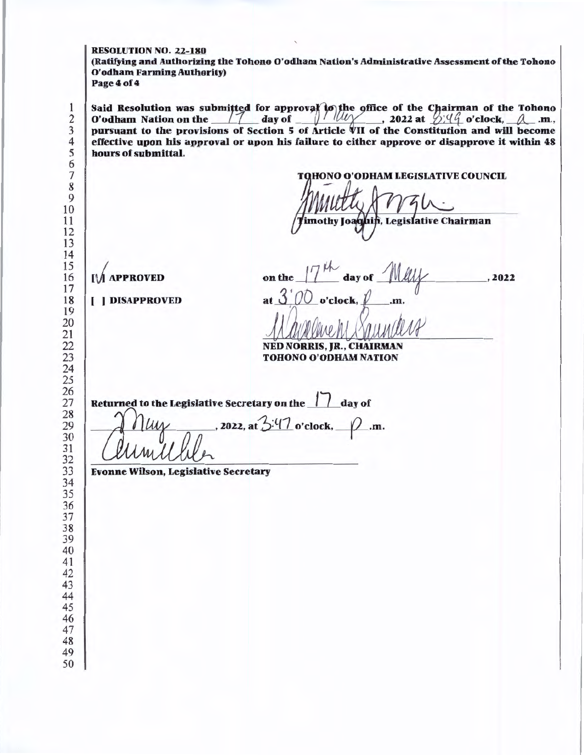## RESOLUTION NO. 22-180

(Ratifying and Authorizing the Tohono O'odham Nation's Administrative Assessment of the Tohono O'odham Farming Authority) Page4of4

|                                             | <b>TQHONO O'ODHAM LEGISLATIVE COUNCIL</b><br>imothy Joaquin, Legislative Chairman                               |
|---------------------------------------------|-----------------------------------------------------------------------------------------------------------------|
| <b>IM APPROVED</b>                          | on the $17^{th}$ day of May<br>2022                                                                             |
| <b>I</b> ] DISAPPROVED                      | <b>NED NORRIS, JR., CHAIRMAN</b><br><b>TOHONO O'ODHAM NATION</b>                                                |
|                                             | Returned to the Legislative Secretary on the 11 day of<br>$\eta_{\mu\nu}$ , 2022, at $3.47$ o'clock, $\rho$ .m. |
| <b>Evonne Wilson, Legislative Secretary</b> |                                                                                                                 |
|                                             |                                                                                                                 |